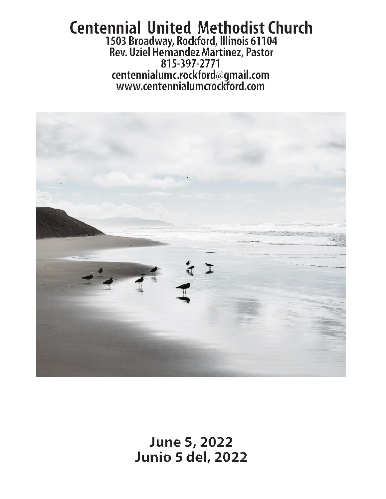### **Centennial United Methodist Church 1503 Broadway, Rockford, Illinois 61104 Rev. Uziel Hernandez Martinez, Pastor 815-397-2771 centennialumc.rockford@gmail.com www.centennialumcrockford.com**



**June 5, 2022 Junio 5 del, 2022**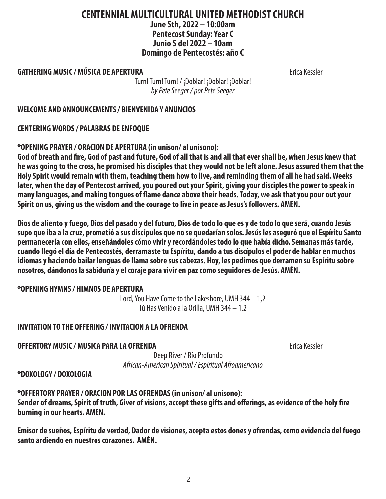# 2

#### **CENTENNIAL MULTICULTURAL UNITED METHODIST CHURCH June 5th, 2022 – 10:00am Pentecost Sunday: Year C Junio 5 del 2022 – 10am Domingo de Pentecostés: año C**

#### **GATHERING MUSIC / MÚSICA DE APERTURA Existence Contract Contract Contract Contract Contract Contract Contract Contract Contract Contract Contract Contract Contract Contract Contract Contract Contract Contract Contract C**

Turn! Turn! Turn! / ¡Doblar! ¡Doblar! ¡Doblar! *by Pete Seeger / por Pete Seeger*

#### **WELCOME AND ANNOUNCEMENTS / BIENVENIDA Y ANUNCIOS**

**CENTERING WORDS / PALABRAS DE ENFOQUE**

**\*OPENING PRAYER / ORACION DE APERTURA (in unison/ al unisono):**

**God of breath and fire, God of past and future, God of all that is and all that ever shall be, when Jesus knew that he was going to the cross, he promised his disciples that they would not be left alone. Jesus assured them that the Holy Spirit would remain with them, teaching them how to live, and reminding them of all he had said. Weeks later, when the day of Pentecost arrived, you poured out your Spirit, giving your disciples the power to speak in many languages, and making tongues of flame dance above their heads. Today, we ask that you pour out your Spirit on us, giving us the wisdom and the courage to live in peace as Jesus's followers. AMEN.**

**Dios de aliento y fuego, Dios del pasado y del futuro, Dios de todo lo que es y de todo lo que será, cuando Jesús supo que iba a la cruz, prometió a sus discípulos que no se quedarían solos. Jesús les aseguró que el Espíritu Santo permanecería con ellos, enseñándoles cómo vivir y recordándoles todo lo que había dicho. Semanas más tarde, cuando llegó el día de Pentecostés, derramaste tu Espíritu, dando a tus discípulos el poder de hablar en muchos idiomas y haciendo bailar lenguas de llama sobre sus cabezas. Hoy, les pedimos que derramen su Espíritu sobre nosotros, dándonos la sabiduría y el coraje para vivir en paz como seguidores de Jesús. AMÉN.**

#### **\*OPENING HYMNS / HIMNOS DE APERTURA**

Lord, You Have Come to the Lakeshore, UMH 344 – 1,2 Tú Has Venido a la Orilla, UMH 344 – 1,2

#### **INVITATION TO THE OFFERING / INVITACION A LA OFRENDA**

**OFFERTORY MUSIC / MUSICA PARA LA OFRENDA** Erica Kessler

Deep River / Río Profundo *African-American Spiritual / Espiritual Afroamericano*

**\*DOXOLOGY / DOXOLOGIA**

**\*OFFERTORY PRAYER / ORACION POR LAS OFRENDAS (in unison/ al unísono): Sender of dreams, Spirit of truth, Giver of visions, accept these gifts and offerings, as evidence of the holy fire burning in our hearts. AMEN.**

**Emisor de sueños, Espíritu de verdad, Dador de visiones, acepta estos dones y ofrendas, como evidencia del fuego santo ardiendo en nuestros corazones. AMÉN.**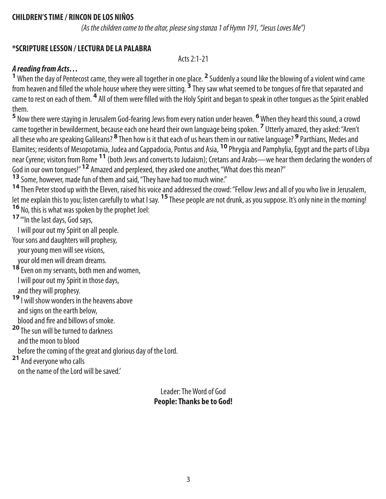#### **CHILDREN'S TIME / RINCON DE LOS NIÑOS**

*(As the children come to the altar, please sing stanza 1 of Hymn 191, "Jesus Loves Me")*

#### **\*SCRIPTURE LESSON / LECTURA DE LA PALABRA**

Acts 2:1-21

#### *A reading from Acts…*

<sup>1</sup> When the day of Pentecost came, they were all together in one place. <sup>2</sup> Suddenly a sound like the blowing of a violent wind came from heaven and filled the whole house where they were sitting. **3** They saw what seemed to be tongues of fire that separated and came to rest on each of them. <sup>4</sup> All of them were filled with the Holy Spirit and began to speak in other tongues as the Spirit enabled them.

**5** Now there were staying in Jerusalem God-fearing Jews from every nation under heaven. **6** When they heard this sound, a crowd came together in bewilderment, because each one heard their own language being spoken. **<sup>7</sup>** Utterly amazed, they asked: "Aren't all these who are speaking Galileans? **<sup>8</sup>** Then how is it that each of us hears them in our native language? **<sup>9</sup>** Parthians, Medes and Elamites; residents of Mesopotamia, Judea and Cappadocia, Pontus and Asia, **10** Phrygia and Pamphylia, Egypt and the parts of Libya near Cyrene; visitors from Rome **11** (both Jews and converts to Judaism); Cretans and Arabs—we hear them declaring the wonders of God in our own tongues!" **12** Amazed and perplexed, they asked one another, "What does this mean?"

**<sup>13</sup>** Some, however, made fun of them and said, "They have had too much wine."

**<sup>14</sup>** Then Peter stood up with the Eleven, raised his voice and addressed the crowd: "Fellow Jews and all of you who live in Jerusalem, let me explain this to you; listen carefully to what I say. **15** These people are not drunk, as you suppose. It's only nine in the morning! **<sup>16</sup>** No, this is what was spoken by the prophet Joel:

**<sup>17</sup>** "'In the last days, God says,

I will pour out my Spirit on all people.

Your sons and daughters will prophesy,

your young men will see visions,

- your old men will dream dreams.
- **<sup>18</sup>** Even on my servants, both men and women, I will pour out my Spirit in those days, and they will prophesy.

**<sup>19</sup>** I will show wonders in the heavens above and signs on the earth below, blood and fire and billows of smoke.

**<sup>20</sup>** The sun will be turned to darkness

and the moon to blood

before the coming of the great and glorious day of the Lord.

**<sup>21</sup>** And everyone who calls

on the name of the Lord will be saved.'

Leader: The Word of God **People: Thanks be to God!**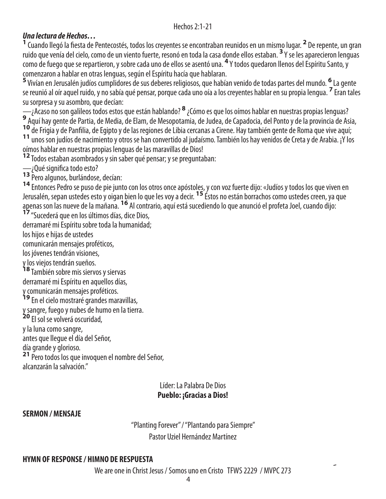#### *Una lectura de Hechos…*

<sup>1</sup> Cuando llegó la fiesta de Pentecostés, todos los creyentes se encontraban reunidos en un mismo lugar. <sup>2</sup> De repente, un gran ruido que venía del cielo, como de un viento fuerte, resonó en toda la casa donde ellos estaban. **3** Y se les aparecieron lenguas como de fuego que se repartieron, y sobre cada uno de ellos se asentó una. **4** Y todos quedaron llenos del Espíritu Santo, y comenzaron a hablar en otras lenguas, según el Espíritu hacía que hablaran.

**5** Vivían en Jerusalén judíos cumplidores de sus deberes religiosos, que habían venido de todas partes del mundo. **<sup>6</sup>** La gente se reunió al oír aquel ruido, y no sabía qué pensar, porque cada uno oía a los creyentes hablar en su propia lengua. **<sup>7</sup>** Eran tales su sorpresa y su asombro, que decían:

—¿Acaso no son galileos todos estos que están hablando? **<sup>8</sup>** ¿Cómo es que los oímos hablar en nuestras propias lenguas? **<sup>9</sup>** 9 Aquí hay gente de Partia, de Media, de Elam, de Mesopotamia, de Judea, de Capadocia, del Ponto y de la provincia de Asia,<br>10 de Frigia y de Panfilia, de Egipto y de las regiones de Libia cercanas a Cirene. Hay también ge 11 unos son judíos de nacimiento y otros se han convertido al judaísmo. También los hay venidos de Creta y de Arabia. ¡Y los

oímos hablar en nuestras propias lenguas de las maravillas de Dios!

**<sup>12</sup>** Todos estaban asombrados y sin saber qué pensar; y se preguntaban:

— ¿Qué significa todo esto?<br>13 Pero algunos, burlándose, decían:

**13** Pero algunos, burlándose, decían:<br>14 Entonces Pedro se puso de pie junto con los otros once apóstole<u>s,</u> y con voz fuerte dijo: «Judíos y todos los que viven en Jerusalén, sepan ustedes esto y oigan bien lo que les voy a decir. **15** Éstos no están borrachos como ustedes creen, ya que apenas son las nueve de la mañana. <sup>16</sup> Al contrario, aquí está sucediendo lo que anunció el profeta Joel, cuando díjo:<br><sup>17</sup> "Sucederá que en los últimos días, dice Dios,

derramaré mi Espíritu sobre toda la humanidad;

los hijos e hijas de ustedes

comunicarán mensajes proféticos,

los jóvenes tendrán visiones,

y los viejos tendrán sueños.

**<sup>18</sup>** También sobre mis siervos y siervas derramaré mi Espíritu en aquellos días, y comunicarán mensajes proféticos.

**<sup>19</sup>** En el cielo mostraré grandes maravillas,

y sangre, fuego y nubes de humo en la tierra.

**<sup>20</sup>** El sol se volverá oscuridad,

y la luna como sangre,

antes que llegue el día del Señor,

día grande y glorioso.

**<sup>21</sup>** Pero todos los que invoquen el nombre del Señor, alcanzarán la salvación."

#### Líder: La Palabra De Dios **Pueblo: ¡Gracias a Dios!**

#### **SERMON / MENSAJE**

"Planting Forever" / "Plantando para Siempre" Pastor Uziel Hernández Martínez

#### **HYMN OF RESPONSE / HIMNO DE RESPUESTA**

We are one in Christ Jesus / Somos uno en Cristo TFWS 2229 / MVPC 273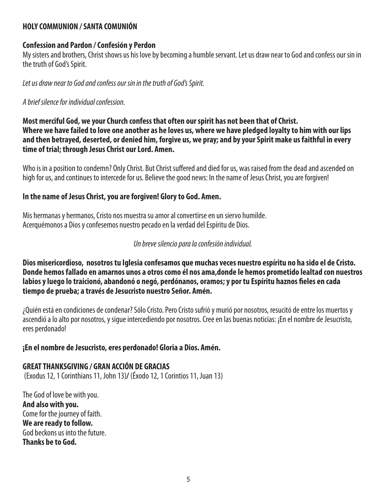#### **HOLY COMMUNION / SANTA COMUNIÓN**

#### **Confession and Pardon / Confesión y Perdon**

My sisters and brothers, Christ shows us his love by becoming a humble servant. Let us draw near to God and confess our sin in the truth of God's Spirit.

*Let us draw near to God and confess our sin in the truth of God's Spirit.*

#### *A brief silence for individual confession.*

**Most merciful God, we your Church confess that often our spirit has not been that of Christ. Where we have failed to love one another as he loves us, where we have pledged loyalty to him with our lips and then betrayed, deserted, or denied him, forgive us, we pray; and by your Spirit make us faithful in every time of trial; through Jesus Christ our Lord. Amen.**

Who is in a position to condemn? Only Christ. But Christ suffered and died for us, was raised from the dead and ascended on high for us, and continues to intercede for us. Believe the good news: In the name of Jesus Christ, you are forgiven!

#### **In the name of Jesus Christ, you are forgiven! Glory to God. Amen.**

Mis hermanas y hermanos, Cristo nos muestra su amor al convertirse en un siervo humilde. Acerquémonos a Dios y confesemos nuestro pecado en la verdad del Espíritu de Dios.

#### *Un breve silencio para la confesión individual.*

**Dios misericordioso, nosotros tu Iglesia confesamos que muchas veces nuestro espíritu no ha sido el de Cristo. Donde hemos fallado en amarnos unos a otros como él nos ama,donde le hemos prometido lealtad con nuestros labios y luego lo traicionó, abandonó o negó, perdónanos, oramos; y por tu Espíritu haznos fieles en cada tiempo de prueba; a través de Jesucristo nuestro Señor. Amén.**

¿Quién está en condiciones de condenar? Sólo Cristo. Pero Cristo sufrió y murió por nosotros, resucitó de entre los muertos y ascendió a lo alto por nosotros, y sigue intercediendo por nosotros. Cree en las buenas noticias: ¡En el nombre de Jesucristo, eres perdonado!

#### **¡En el nombre de Jesucristo, eres perdonado! Gloria a Dios. Amén.**

#### **GREAT THANKSGIVING / GRAN ACCIÓN DE GRACIAS**

(Exodus 12, 1 Corinthians 11, John 13)**/** (Éxodo 12, 1 Corintios 11, Juan 13)

The God of love be with you. **And also with you.**  Come for the journey of faith. **We are ready to follow.**  God beckons us into the future. **Thanks be to God.**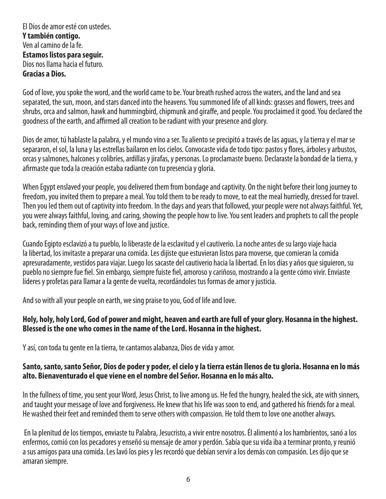El Dios de amor esté con ustedes. **Y también contigo.** Ven al camino de la fe. **Estamos listos para seguir.** Dios nos llama hacia el futuro. **Gracias a Dios.**

God of love, you spoke the word, and the world came to be. Your breath rushed across the waters, and the land and sea separated, the sun, moon, and stars danced into the heavens. You summoned life of all kinds: grasses and flowers, trees and shrubs, orca and salmon, hawk and hummingbird, chipmunk and giraffe, and people. You proclaimed it good. You declared the goodness of the earth, and affirmed all creation to be radiant with your presence and glory.

Dios de amor, tú hablaste la palabra, y el mundo vino a ser. Tu aliento se precipitó a través de las aguas, y la tierra y el mar se separaron, el sol, la luna y las estrellas bailaron en los cielos. Convocaste vida de todo tipo: pastos y flores, árboles y arbustos, orcas y salmones, halcones y colibríes, ardillas y jirafas, y personas. Lo proclamaste bueno. Declaraste la bondad de la tierra, y afirmaste que toda la creación estaba radiante con tu presencia y gloria.

When Egypt enslaved your people, you delivered them from bondage and captivity. On the night before their long journey to freedom, you invited them to prepare a meal. You told them to be ready to move, to eat the meal hurriedly, dressed for travel. Then you led them out of captivity into freedom. In the days and years that followed, your people were not always faithful. Yet, you were always faithful, loving, and caring, showing the people how to live. You sent leaders and prophets to call the people back, reminding them of your ways of love and justice.

Cuando Egipto esclavizó a tu pueblo, lo liberaste de la esclavitud y el cautiverio. La noche antes de su largo viaje hacia la libertad, los invitaste a preparar una comida. Les dijiste que estuvieran listos para moverse, que comieran la comida apresuradamente, vestidos para viajar. Luego los sacaste del cautiverio hacia la libertad. En los días y años que siguieron, su pueblo no siempre fue fiel. Sin embargo, siempre fuiste fiel, amoroso y cariñoso, mostrando a la gente cómo vivir. Enviaste líderes y profetas para llamar a la gente de vuelta, recordándoles tus formas de amor y justicia.

And so with all your people on earth, we sing praise to you, God of life and love.

#### **Holy, holy, holy Lord, God of power and might, heaven and earth are full of your glory. Hosanna in the highest. Blessed is the one who comes in the name of the Lord. Hosanna in the highest.**

Y así, con toda tu gente en la tierra, te cantamos alabanza, Dios de vida y amor.

#### **Santo, santo, santo Señor, Dios de poder y poder, el cielo y la tierra están llenos de tu gloria. Hosanna en lo más alto. Bienaventurado el que viene en el nombre del Señor. Hosanna en lo más alto.**

In the fullness of time, you sent your Word, Jesus Christ, to live among us. He fed the hungry, healed the sick, ate with sinners, and taught your message of love and forgiveness. He knew that his life was soon to end, and gathered his friends for a meal. He washed their feet and reminded them to serve others with compassion. He told them to love one another always.

 En la plenitud de los tiempos, enviaste tu Palabra, Jesucristo, a vivir entre nosotros. Él alimentó a los hambrientos, sanó a los enfermos, comió con los pecadores y enseñó su mensaje de amor y perdón. Sabía que su vida iba a terminar pronto, y reunió a sus amigos para una comida. Les lavó los pies y les recordó que debían servir a los demás con compasión. Les dijo que se amaran siempre.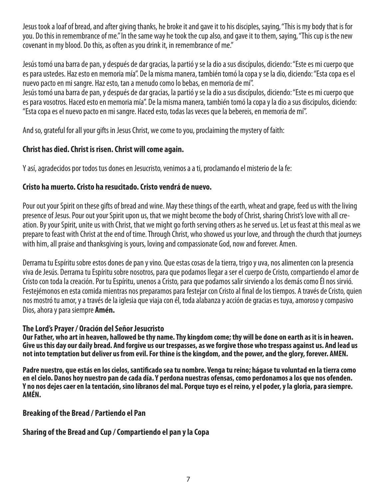Jesus took a loaf of bread, and after giving thanks, he broke it and gave it to his disciples, saying, "This is my body that is for you. Do this in remembrance of me." In the same way he took the cup also, and gave it to them, saying, "This cup is the new covenant in my blood. Do this, as often as you drink it, in remembrance of me."

Jesús tomó una barra de pan, y después de dar gracias, la partió y se la dio a sus discípulos, diciendo: "Este es mi cuerpo que es para ustedes. Haz esto en memoria mía". De la misma manera, también tomó la copa y se la dio, diciendo: "Esta copa es el nuevo pacto en mi sangre. Haz esto, tan a menudo como lo bebas, en memoria de mí".

Jesús tomó una barra de pan, y después de dar gracias, la partió y se la dio a sus discípulos, diciendo: "Este es mi cuerpo que es para vosotros. Haced esto en memoria mía". De la misma manera, también tomó la copa y la dio a sus discipulos, diciendo: "Esta copa es el nuevo pacto en mi sangre. Haced esto, todas las veces que la bebereis, en memoria de mí".

And so, grateful for all your gifts in Jesus Christ, we come to you, proclaiming the mystery of faith:

#### **Christ has died. Christ is risen. Christ will come again.**

Y así, agradecidos por todos tus dones en Jesucristo, venimos a a ti, proclamando el misterio de la fe:

#### **Cristo ha muerto. Cristo ha resucitado. Cristo vendrá de nuevo.**

Pour out your Spirit on these gifts of bread and wine. May these things of the earth, wheat and grape, feed us with the living presence of Jesus. Pour out your Spirit upon us, that we might become the body of Christ, sharing Christ's love with all creation. By your Spirit, unite us with Christ, that we might go forth serving others as he served us. Let us feast at this meal as we prepare to feast with Christ at the end of time. Through Christ, who showed us your love, and through the church that journeys with him, all praise and thanksgiving is yours, loving and compassionate God, now and forever. Amen.

Derrama tu Espíritu sobre estos dones de pan y vino. Que estas cosas de la tierra, trigo y uva, nos alimenten con la presencia viva de Jesús. Derrama tu Espíritu sobre nosotros, para que podamos llegar a ser el cuerpo de Cristo, compartiendo el amor de Cristo con toda la creación. Por tu Espíritu, unenos a Cristo, para que podamos salir sirviendo a los demás como Él nos sirvió. Festejémonos en esta comida mientras nos preparamos para festejar con Cristo al final de los tiempos. A través de Cristo, quien nos mostró tu amor, y a través de la iglesia que viaja con él, toda alabanza y acción de gracias es tuya, amoroso y compasivo Dios, ahora y para siempre **Amén.**

#### **The Lord's Prayer / Oración del Señor Jesucristo**

Our Father, who art in heaven, hallowed be thy name. Thy kingdom come; thy will be done on earth as it is in heaven. **Give us this day our daily bread. And forgive us our trespasses, as we forgive those who trespass against us. And lead us not into temptation but deliver us from evil. For thine is the kingdom, and the power, and the glory, forever. AMEN.**

**Padre nuestro, que estás en los cielos, santificado sea tu nombre. Venga tu reino; hágase tu voluntad en la tierra como en el cielo. Danos hoy nuestro pan de cada día. Y perdona nuestras ofensas, como perdonamos a los que nos ofenden. Y no nos dejes caer en la tentación, sino líbranos del mal. Porque tuyo es el reino, y el poder, y la gloria, para siempre. AMÉN.**

#### **Breaking of the Bread / Partiendo el Pan**

#### **Sharing of the Bread and Cup / Compartiendo el pan y la Copa**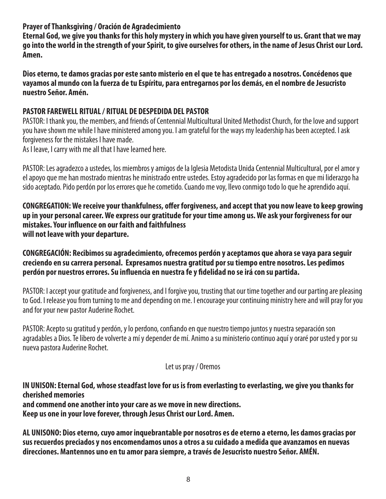**Prayer of Thanksgiving / Oración de Agradecimiento**

**Eternal God, we give you thanks for this holy mystery in which you have given yourself to us. Grant that we may go into the world in the strength of your Spirit, to give ourselves for others, in the name of Jesus Christ our Lord. Amen.**

**Dios eterno, te damos gracias por este santo misterio en el que te has entregado a nosotros. Concédenos que vayamos al mundo con la fuerza de tu Espíritu, para entregarnos por los demás, en el nombre de Jesucristo nuestro Señor. Amén.**

#### **PASTOR FAREWELL RITUAL / RITUAL DE DESPEDIDA DEL PASTOR**

PASTOR: I thank you, the members, and friends of Centennial Multicultural United Methodist Church, for the love and support you have shown me while I have ministered among you. I am grateful for the ways my leadership has been accepted. I ask forgiveness for the mistakes I have made.

As I leave, I carry with me all that I have learned here.

PASTOR: Les agradezco a ustedes, los miembros y amigos de la Iglesia Metodista Unida Centennial Multicultural, por el amor y el apoyo que me han mostrado mientras he ministrado entre ustedes. Estoy agradecido por las formas en que mi liderazgo ha sido aceptado. Pido perdón por los errores que he cometido. Cuando me voy, llevo conmigo todo lo que he aprendido aquí.

**CONGREGATION: We receive your thankfulness, offer forgiveness, and accept that you now leave to keep growing up in your personal career. We express our gratitude for your time among us. We ask your forgiveness for our mistakes. Your influence on our faith and faithfulness will not leave with your departure.**

**CONGREGACIÓN: Recibimos su agradecimiento, ofrecemos perdón y aceptamos que ahora se vaya para seguir creciendo en su carrera personal. Expresamos nuestra gratitud por su tiempo entre nosotros. Les pedimos perdón por nuestros errores. Su influencia en nuestra fe y fidelidad no se irá con su partida.**

PASTOR: I accept your gratitude and forgiveness, and I forgive you, trusting that our time together and our parting are pleasing to God. I release you from turning to me and depending on me. I encourage your continuing ministry here and will pray for you and for your new pastor Auderine Rochet.

PASTOR: Acepto su gratitud y perdón, y lo perdono, confiando en que nuestro tiempo juntos y nuestra separación son agradables a Dios. Te libero de volverte a mí y depender de mí. Animo a su ministerio continuo aquí y oraré por usted y por su nueva pastora Auderine Rochet.

#### Let us pray / Oremos

**IN UNISON: Eternal God, whose steadfast love for us is from everlasting to everlasting, we give you thanks for cherished memories and commend one another into your care as we move in new directions. Keep us one in your love forever, through Jesus Christ our Lord. Amen.**

**AL UNISONO: Dios eterno, cuyo amor inquebrantable por nosotros es de eterno a eterno, les damos gracias por sus recuerdos preciados y nos encomendamos unos a otros a su cuidado a medida que avanzamos en nuevas direcciones. Mantennos uno en tu amor para siempre, a través de Jesucristo nuestro Señor. AMÉN.**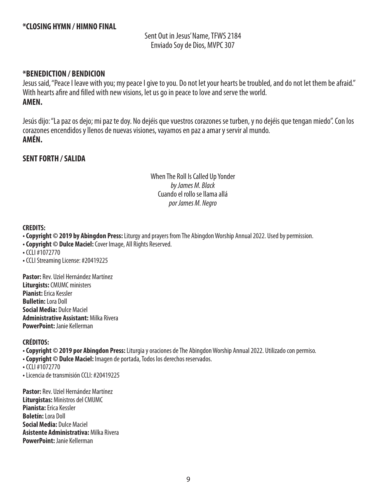Sent Out in Jesus' Name, TFWS 2184 Enviado Soy de Dios, MVPC 307

#### **\*BENEDICTION / BENDICION**

Jesus said, "Peace I leave with you; my peace I give to you. Do not let your hearts be troubled, and do not let them be afraid." With hearts afire and filled with new visions, let us go in peace to love and serve the world. **AMEN.**

Jesús dijo: "La paz os dejo; mi paz te doy. No dejéis que vuestros corazones se turben, y no dejéis que tengan miedo". Con los corazones encendidos y llenos de nuevas visiones, vayamos en paz a amar y servir al mundo. **AMÉN.**

#### **SENT FORTH / SALIDA**

When The Roll Is Called Up Yonder *by James M. Black* Cuando el rollo se llama allá *por James M. Negro*

#### **CREDITS:**

- **Copyright © 2019 by Abingdon Press:** Liturgy and prayers from The Abingdon Worship Annual 2022. Used by permission.
- **Copyright © Dulce Maciel:** Cover Image, All Rights Reserved.
- CCLI #1072770
- **•** CCLI Streaming License: #20419225

**Pastor:** Rev. Uziel Hernández Martínez **Liturgists:** CMUMC ministers **Pianist:** Erica Kessler **Bulletin:** Lora Doll **Social Media:** Dulce Maciel **Administrative Assistant:** Milka Rivera **PowerPoint:** Janie Kellerman

#### **CRÉDITOS:**

**• Copyright © 2019 por Abingdon Press:** Liturgia y oraciones de The Abingdon Worship Annual 2022. Utilizado con permiso.

**• Copyright © Dulce Maciel:** Imagen de portada, Todos los derechos reservados.

**•** CCLI #1072770

**•** Licencia de transmisión CCLI: #20419225

**Pastor:** Rev. Uziel Hernández Martínez **Liturgistas:** Ministros del CMUMC **Pianista:** Erica Kessler **Boletín:** Lora Doll **Social Media:** Dulce Maciel **Asistente Administrativa:** Milka Rivera **PowerPoint:** Janie Kellerman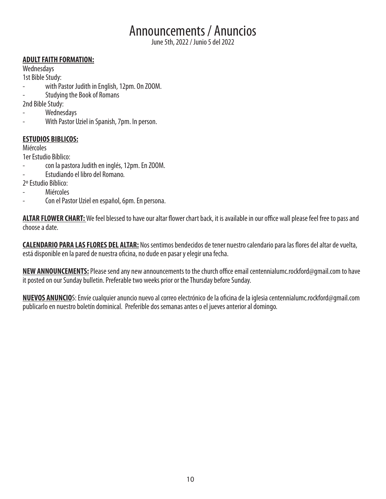# Announcements / Anuncios

June 5th, 2022 / Junio 5 del 2022

#### **ADULT FAITH FORMATION:**

Wednesdays

1st Bible Study:

- with Pastor Judith in English, 12pm. On ZOOM.
- Studying the Book of Romans

2nd Bible Study:

- **Wednesdays**
- With Pastor Uziel in Spanish, 7pm. In person.

#### **ESTUDIOS BIBLICOS:**

Miércoles

1er Estudio Bíblico:

- con la pastora Judith en inglés, 12pm. En ZOOM.
- Estudiando el libro del Romano.

2º Estudio Bíblico:

- **Miércoles**
- Con el Pastor Uziel en español, 6pm. En persona.

**ALTAR FLOWER CHART:** We feel blessed to have our altar flower chart back, it is available in our office wall please feel free to pass and choose a date.

**CALENDARIO PARA LAS FLORES DEL ALTAR:** Nos sentimos bendecidos de tener nuestro calendario para las flores del altar de vuelta, está disponible en la pared de nuestra oficina, no dude en pasar y elegir una fecha.

**NEW ANNOUNCEMENTS:** Please send any new announcements to the church office email centennialumc.rockford@gmail.com to have it posted on our Sunday bulletin. Preferable two weeks prior or the Thursday before Sunday.

**NUEVOS ANUNCIO**S: Envíe cualquier anuncio nuevo al correo electrónico de la oficina de la iglesia centennialumc.rockford@gmail.com publicarlo en nuestro boletín dominical. Preferible dos semanas antes o el jueves anterior al domingo.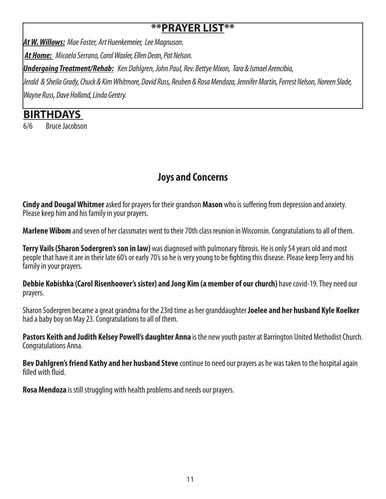## **\*\*PRAYER LIST\*\***

*At W. Willows: Mae Foster, Art Huenkemeier, Lee Magnuson.* 

*At Home: Micaela Serrano, Carol Waxler, Ellen Dean, Pat Nelson.*

*Undergoing Treatment/Rehab: Ken Dahlgren, John Paul, Rev. Bettye Mixon, Tara & Ismael Arencibia,* 

*Jerald & Sheila Grady, Chuck & Kim Whitmore, David Russ, Reuben & Rosa Mendoza, Jennifer Martin, Forrest Nelson, Noreen Slade, Wayne Russ, Dave Holland, Linda Gentry.*

# **BIRTHDAYS**

6/6 Bruce Jacobson

# **Joys and Concerns**

**Cindy and Dougal Whitmer** asked for prayers for their grandson **Mason** who is suffering from depression and anxiety. Please keep him and his family in your prayers.

**Marlene Wibom** and seven of her classmates went to their 70th class reunion in Wisconsin. Congratulations to all of them.

**Terry Vails (Sharon Sodergren's son in law)** was diagnosed with pulmonary fibrosis. He is only 54 years old and most people that have it are in their late 60's or early 70's so he is very young to be fighting this disease. Please keep Terry and his family in your prayers.

**Debbie Kobishka (Carol Risenhoover's sister) and Jong Kim (a member of our church)** have covid-19. They need our prayers.

Sharon Sodergren became a great grandma for the 23rd time as her granddaughter **Joelee and her husband Kyle Koelker**  had a baby boy on May 23. Congratulations to all of them.

**Pastors Keith and Judith Kelsey Powell's daughter Anna** is the new youth paster at Barrington United Methodist Church. Congratulations Anna.

**Bev Dahlgren's friend Kathy and her husband Steve** continue to need our prayers as he was taken to the hospital again filled with fluid.

**Rosa Mendoza** is still struggling with health problems and needs our prayers.